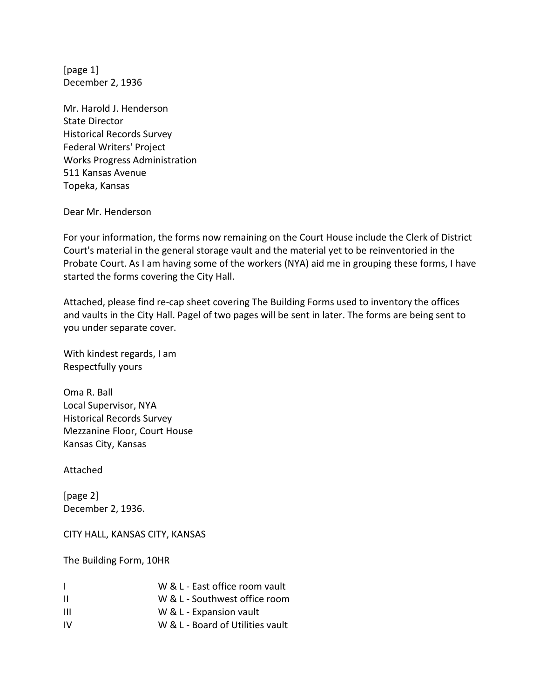[page 1] December 2, 1936

Mr. Harold J. Henderson State Director Historical Records Survey Federal Writers' Project Works Progress Administration 511 Kansas Avenue Topeka, Kansas

Dear Mr. Henderson

For your information, the forms now remaining on the Court House include the Clerk of District Court's material in the general storage vault and the material yet to be reinventoried in the Probate Court. As I am having some of the workers (NYA) aid me in grouping these forms, I have started the forms covering the City Hall.

Attached, please find re-cap sheet covering The Building Forms used to inventory the offices and vaults in the City Hall. Pagel of two pages will be sent in later. The forms are being sent to you under separate cover.

With kindest regards, I am Respectfully yours

Oma R. Ball Local Supervisor, NYA Historical Records Survey Mezzanine Floor, Court House Kansas City, Kansas

Attached

[page 2] December 2, 1936.

CITY HALL, KANSAS CITY, KANSAS

The Building Form, 10HR

| $\mathbf{I}$ | W & L - East office room vault   |
|--------------|----------------------------------|
| $\mathbf{H}$ | W & L - Southwest office room    |
| Ш            | W & L - Expansion vault          |
| IV.          | W & L - Board of Utilities vault |